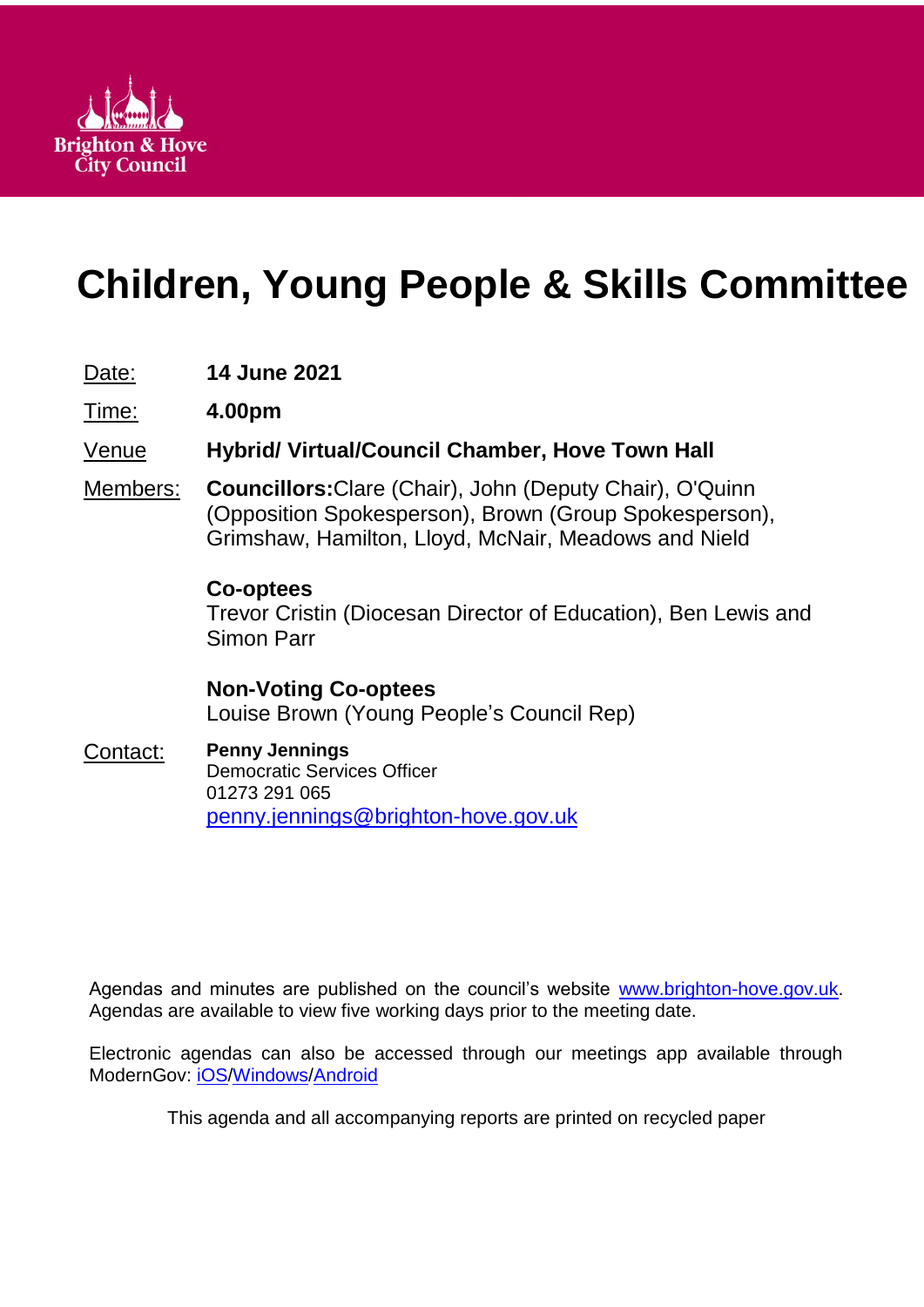

# **Children, Young People & Skills Committee**

# Date: **14 June 2021**

Time: **4.00pm**

# Venue **Hybrid/ Virtual/Council Chamber, Hove Town Hall**

Members: **Councillors:**Clare (Chair), John (Deputy Chair), O'Quinn (Opposition Spokesperson), Brown (Group Spokesperson), Grimshaw, Hamilton, Lloyd, McNair, Meadows and Nield

# **Co-optees**

Trevor Cristin (Diocesan Director of Education), Ben Lewis and Simon Parr

**Non-Voting Co-optees** Louise Brown (Young People's Council Rep)

#### Contact: **Penny Jennings** Democratic Services Officer 01273 291 065 [penny.jennings@brighton-hove.gov.uk](mailto:penny.jennings@brighton-hove.gov.uk)

Agendas and minutes are published on the council's website [www.brighton-hove.gov.uk.](http://www.brighton-hove.gov.uk/) Agendas are available to view five working days prior to the meeting date.

Electronic agendas can also be accessed through our meetings app available through ModernGov: [iOS](https://play.google.com/store/apps/details?id=uk.co.moderngov.modgov&hl=en_GB)[/Windows/](https://www.microsoft.com/en-gb/p/modgov/9nblggh0c7s7#activetab=pivot:overviewtab)[Android](https://play.google.com/store/apps/details?id=uk.co.moderngov.modgov&hl=en_GB)

This agenda and all accompanying reports are printed on recycled paper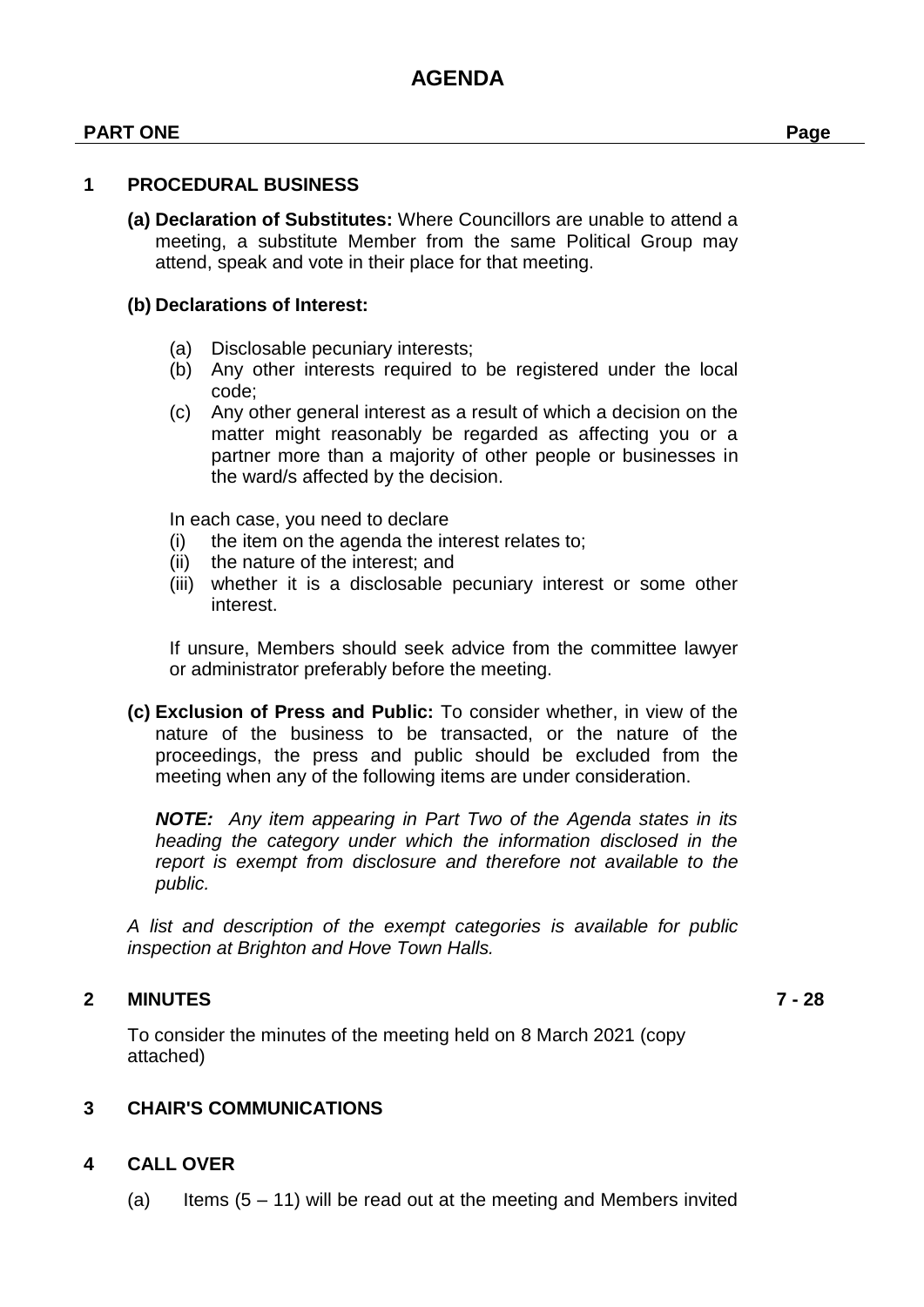#### **PART ONE Page**

#### **1 PROCEDURAL BUSINESS**

**(a) Declaration of Substitutes:** Where Councillors are unable to attend a meeting, a substitute Member from the same Political Group may attend, speak and vote in their place for that meeting.

#### **(b) Declarations of Interest:**

- (a) Disclosable pecuniary interests;
- (b) Any other interests required to be registered under the local code;
- (c) Any other general interest as a result of which a decision on the matter might reasonably be regarded as affecting you or a partner more than a majority of other people or businesses in the ward/s affected by the decision.

In each case, you need to declare

- (i) the item on the agenda the interest relates to;
- (ii) the nature of the interest; and
- (iii) whether it is a disclosable pecuniary interest or some other interest.

If unsure, Members should seek advice from the committee lawyer or administrator preferably before the meeting.

**(c) Exclusion of Press and Public:** To consider whether, in view of the nature of the business to be transacted, or the nature of the proceedings, the press and public should be excluded from the meeting when any of the following items are under consideration.

*NOTE: Any item appearing in Part Two of the Agenda states in its heading the category under which the information disclosed in the report is exempt from disclosure and therefore not available to the public.*

*A list and description of the exempt categories is available for public inspection at Brighton and Hove Town Halls.*

#### **2 MINUTES 7 - 28**

To consider the minutes of the meeting held on 8 March 2021 (copy attached)

#### **3 CHAIR'S COMMUNICATIONS**

#### **4 CALL OVER**

(a) Items  $(5 - 11)$  will be read out at the meeting and Members invited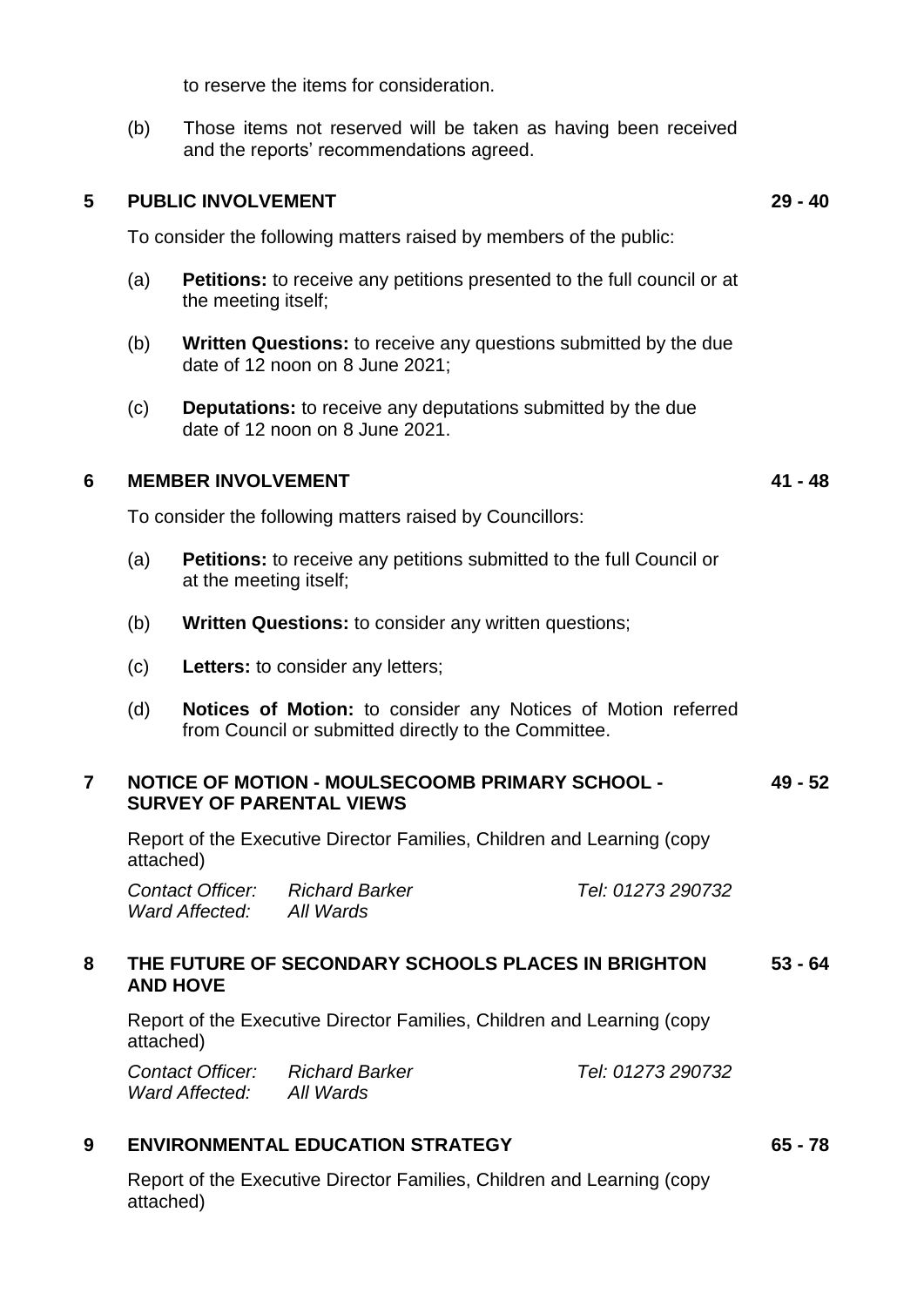to reserve the items for consideration.

(b) Those items not reserved will be taken as having been received and the reports' recommendations agreed.

#### **5 PUBLIC INVOLVEMENT 29 - 40**

To consider the following matters raised by members of the public:

- (a) **Petitions:** to receive any petitions presented to the full council or at the meeting itself;
- (b) **Written Questions:** to receive any questions submitted by the due date of 12 noon on 8 June 2021;
- (c) **Deputations:** to receive any deputations submitted by the due date of 12 noon on 8 June 2021.

#### **6 MEMBER INVOLVEMENT 41 - 48**

To consider the following matters raised by Councillors:

- (a) **Petitions:** to receive any petitions submitted to the full Council or at the meeting itself;
- (b) **Written Questions:** to consider any written questions;
- (c) **Letters:** to consider any letters;
- (d) **Notices of Motion:** to consider any Notices of Motion referred from Council or submitted directly to the Committee.

#### **7 NOTICE OF MOTION - MOULSECOOMB PRIMARY SCHOOL - SURVEY OF PARENTAL VIEWS 49 - 52**

Report of the Executive Director Families, Children and Learning (copy attached)

*Contact Officer: Richard Barker Tel: 01273 290732 Ward Affected: All Wards*

#### **8 THE FUTURE OF SECONDARY SCHOOLS PLACES IN BRIGHTON AND HOVE 53 - 64**

Report of the Executive Director Families, Children and Learning (copy attached)

| Contact Officer: | Richard Barker | Tel: 01273 290732 |
|------------------|----------------|-------------------|
| Ward Affected:   | All Wards      |                   |

## **9 ENVIRONMENTAL EDUCATION STRATEGY 65 - 78**

Report of the Executive Director Families, Children and Learning (copy attached)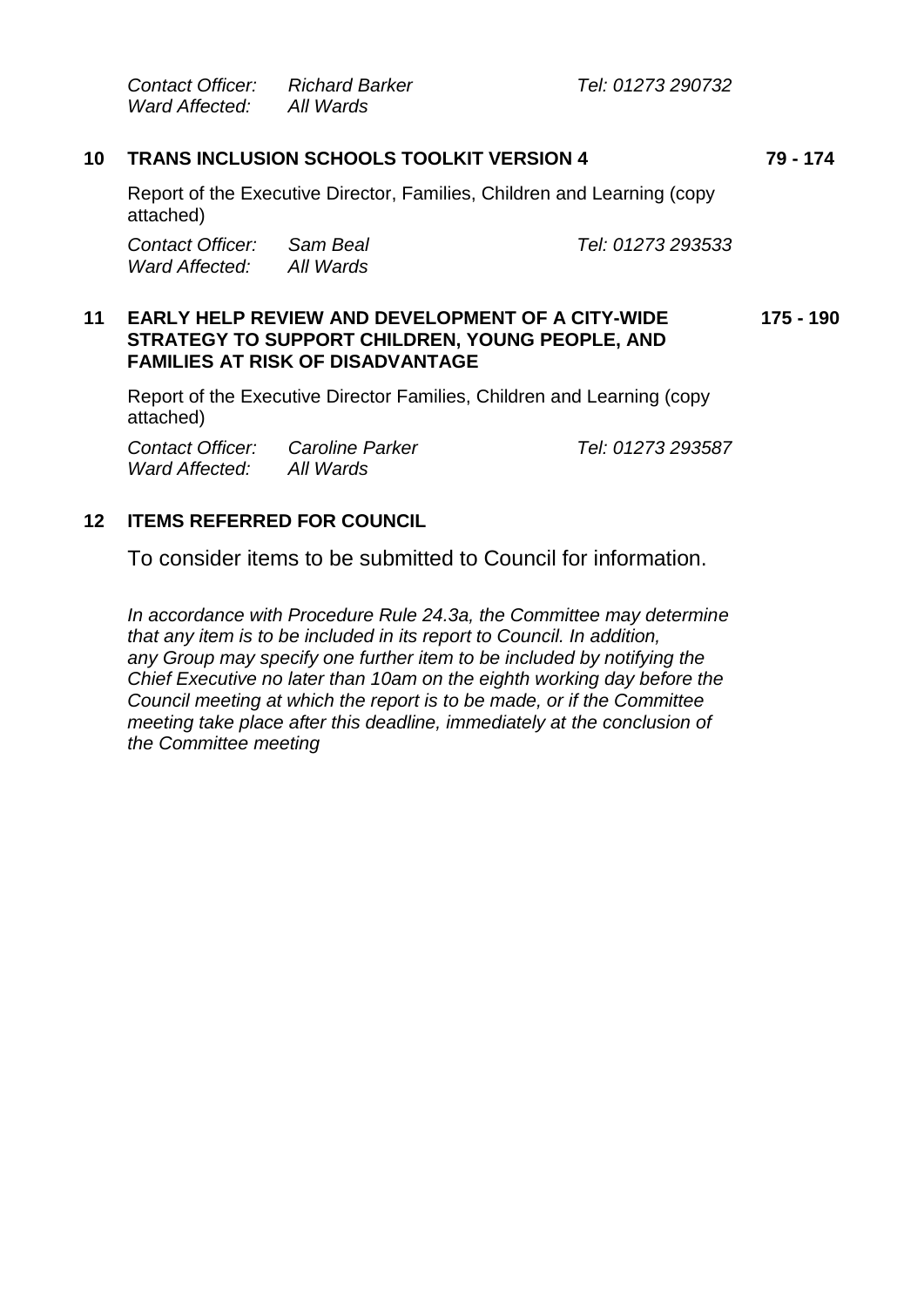*Contact Officer: Richard Barker Tel: 01273 290732 Ward Affected: All Wards*

## **10 TRANS INCLUSION SCHOOLS TOOLKIT VERSION 4 79 - 174**

Report of the Executive Director, Families, Children and Learning (copy attached)

*Contact Officer: Sam Beal Tel: 01273 293533 Ward Affected: All Wards*

#### **11 EARLY HELP REVIEW AND DEVELOPMENT OF A CITY-WIDE STRATEGY TO SUPPORT CHILDREN, YOUNG PEOPLE, AND FAMILIES AT RISK OF DISADVANTAGE 175 - 190**

Report of the Executive Director Families, Children and Learning (copy attached)

*Contact Officer: Caroline Parker Tel: 01273 293587 Ward Affected: All Wards*

## **12 ITEMS REFERRED FOR COUNCIL**

To consider items to be submitted to Council for information.

*In accordance with Procedure Rule 24.3a, the Committee may determine that any item is to be included in its report to Council. In addition, any Group may specify one further item to be included by notifying the Chief Executive no later than 10am on the eighth working day before the Council meeting at which the report is to be made, or if the Committee meeting take place after this deadline, immediately at the conclusion of the Committee meeting*